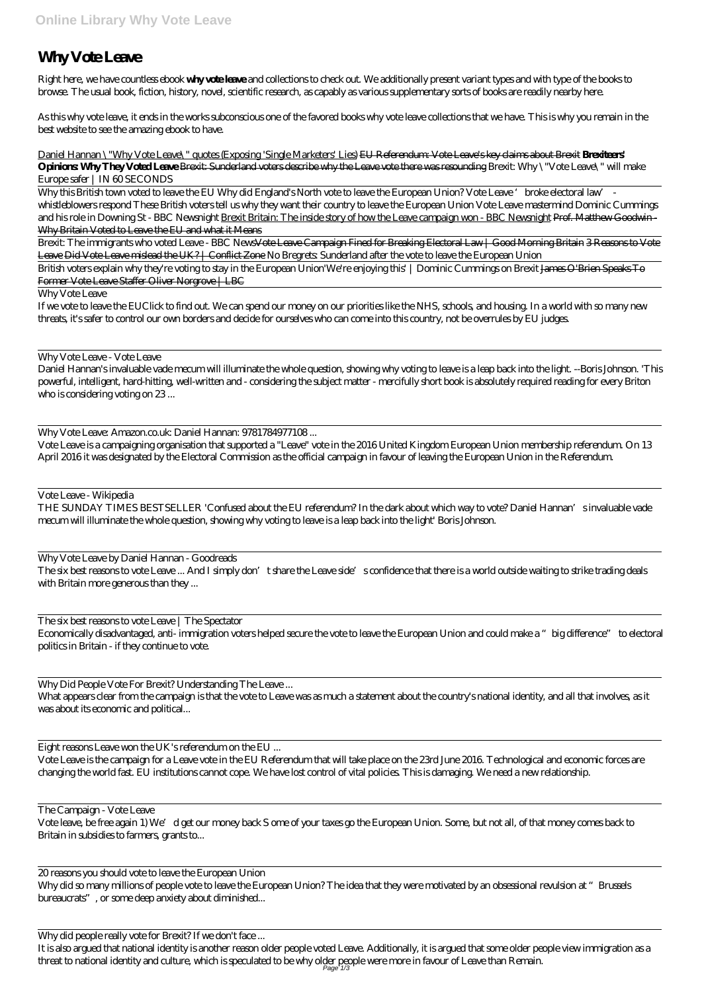## **Why Vote Leave**

Right here, we have countless ebook **why vote leave** and collections to check out. We additionally present variant types and with type of the books to browse. The usual book, fiction, history, novel, scientific research, as capably as various supplementary sorts of books are readily nearby here.

As this why vote leave, it ends in the works subconscious one of the favored books why vote leave collections that we have. This is why you remain in the best website to see the amazing ebook to have.

Daniel Hannan \"Why Vote Leave\" quotes (Exposing 'Single Marketers' Lies) EU Referendum: Vote Leave's key claims about Brexit **Brexiteers' Opinions Why They Voted Leave Brexit: Sunderland voters describe why the Leave vote there was resounding** *Brexit: Why \"Vote Leave\" will make Europe safer | IN 60 SECONDS*

Why this British town voted to leave the EU Why did England's North vote to leave the European Union? *Vote Leave 'broke electoral law' whistleblowers respond* These British voters tell us why they want their country to leave the European Union Vote Leave mastermind Dominic Cummings and his role in Downing St - BBC Newsnight Brexit Britain: The inside story of how the Leave campaign won - BBC Newsnight Prof. Matthew Goodwin-Why Britain Voted to Leave the EU and what it Means

Brexit: The immigrants who voted Leave - BBC News<del>Vote Leave Campaign Fined for Breaking Electoral Law | Good Morning Britain 3 Reasons to Vote</del> Leave Did Vote Leave mislead the UK? | Conflict Zone No Bregrets: Sunderland after the vote to leave the European Union

The six best reasons to vote Leave ... And I simply don't share the Leave side's confidence that there is a world outside waiting to strike trading deals with Britain more generous than they ...

British voters explain why they're voting to stay in the European Union*'We're enjoying this' | Dominic Cummings on Brexit* James O'Brien Speaks To Former Vote Leave Staffer Oliver Norgrove | LBC

Why Vote Leave

If we vote to leave the EUClick to find out. We can spend our money on our priorities like the NHS, schools, and housing. In a world with so many new threats, it's safer to control our own borders and decide for ourselves who can come into this country, not be overrules by EU judges.

Why Vote Leave - Vote Leave

Daniel Hannan's invaluable vade mecum will illuminate the whole question, showing why voting to leave is a leap back into the light. --Boris Johnson. 'This powerful, intelligent, hard-hitting, well-written and - considering the subject matter - mercifully short book is absolutely required reading for every Briton who is considering voting on 23 ...

Why Vote Leave: Amazon.co.uk: Daniel Hannan: 9781784977108...

It is also argued that national identity is another reason older people voted Leave. Additionally, it is argued that some older people view immigration as a threat to national identity and culture, which is speculated to be why older people were more in favour of Leave than Remain. Page<sup>+</sup>1/3

Vote Leave is a campaigning organisation that supported a "Leave" vote in the 2016 United Kingdom European Union membership referendum. On 13 April 2016 it was designated by the Electoral Commission as the official campaign in favour of leaving the European Union in the Referendum.

Vote Leave - Wikipedia

THE SUNDAY TIMES BESTSELLER 'Confused about the EU referendum? In the dark about which way to vote? Daniel Hannan's invaluable vade mecum will illuminate the whole question, showing why voting to leave is a leap back into the light' Boris Johnson.

Why Vote Leave by Daniel Hannan - Goodreads

The six best reasons to vote Leave | The Spectator

Economically disadvantaged, anti- immigration voters helped secure the vote to leave the European Union and could make a "big difference" to electoral politics in Britain - if they continue to vote.

Why Did People Vote For Brexit? Understanding The Leave ...

What appears clear from the campaign is that the vote to Leave was as much a statement about the country's national identity, and all that involves, as it was about its economic and political...

Eight reasons Leave won the UK's referendum on the EU

Vote Leave is the campaign for a Leave vote in the EU Referendum that will take place on the 23rd June 2016. Technological and economic forces are changing the world fast. EU institutions cannot cope. We have lost control of vital policies. This is damaging. We need a new relationship.

The Campaign - Vote Leave Vote leave, be free again 1) We'd get our money back S ome of your taxes go the European Union. Some, but not all, of that money comes back to Britain in subsidies to farmers, grants to...

20 reasons you should vote to leave the European Union Why did so many millions of people vote to leave the European Union? The idea that they were motivated by an obsessional revulsion at "Brussels bureaucrats", or some deep anxiety about diminished...

Why did people really vote for Brexit? If we don't face ...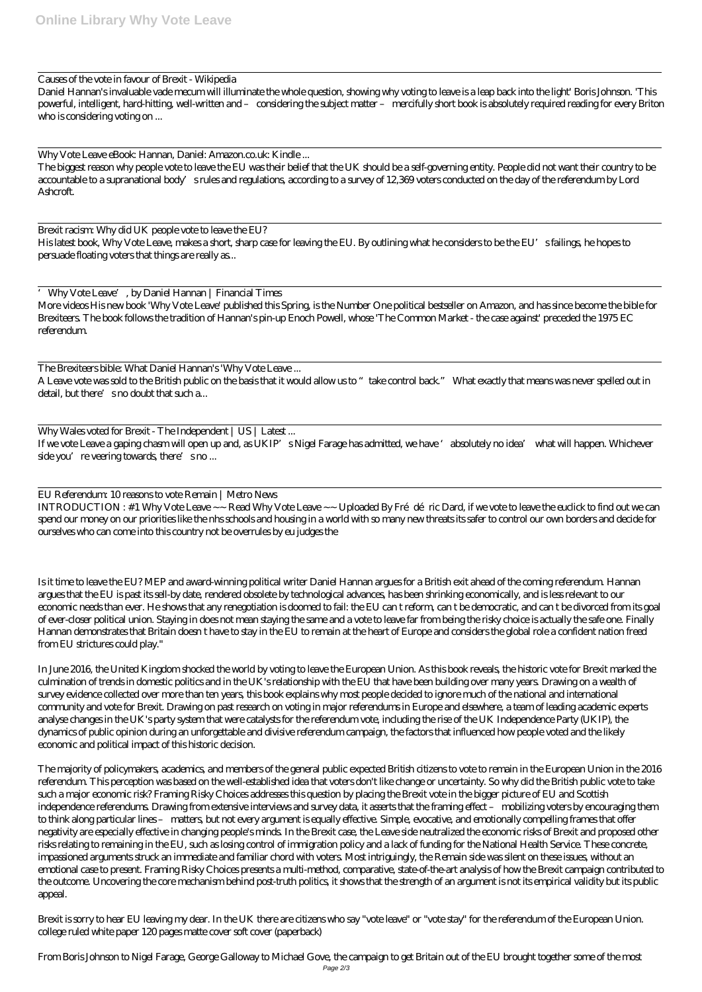## Causes of the vote in favour of Brexit - Wikipedia

Daniel Hannan's invaluable vade mecum will illuminate the whole question, showing why voting to leave is a leap back into the light' Boris Johnson. 'This powerful, intelligent, hard-hitting, well-written and – considering the subject matter – mercifully short book is absolutely required reading for every Briton who is considering voting on ...

Why Vote Leave eBook: Hannan, Daniel: Amazon.co.uk: Kindle ...

The biggest reason why people vote to leave the EU was their belief that the UK should be a self-governing entity. People did not want their country to be accountable to a supranational body's rules and regulations, according to a survey of 12,369 voters conducted on the day of the referendum by Lord Ashcroft.

The Brexiteers bible: What Daniel Hannan's 'Why Vote Leave ... A Leave vote was sold to the British public on the basis that it would allow us to "take control back." What exactly that means was never spelled out in detail, but there's no doubt that such a...

Why Wales voted for Brexit - The Independent | US | Latest ... If we vote Leave a gaping chasm will open up and, as UKIP's Nigel Farage has admitted, we have 'absolutely no idea' what will happen. Whichever side you're veering towards, there's no...

Brexit racism: Why did UK people vote to leave the EU? His latest book, Why Vote Leave, makes a short, sharp case for leaving the EU. By outlining what he considers to be the EU's failings, he hopes to persuade floating voters that things are really as...

 $INTRODUCTION: #1 Why Vote Leave ~~$  Read Why Vote Leave  $~$ - Uploaded By Frédéric Dard, if we vote to leave the euclick to find out we can spend our money on our priorities like the nhs schools and housing in a world with so many new threats its safer to control our own borders and decide for ourselves who can come into this country not be overrules by eu judges the

'Why Vote Leave', by Daniel Hannan | Financial Times More videos His new book 'Why Vote Leave' published this Spring, is the Number One political bestseller on Amazon, and has since become the bible for Brexiteers. The book follows the tradition of Hannan's pin-up Enoch Powell, whose 'The Common Market - the case against' preceded the 1975 EC referendum.

EU Referendum: 10 reasons to vote Remain | Metro News

Is it time to leave the EU? MEP and award-winning political writer Daniel Hannan argues for a British exit ahead of the coming referendum. Hannan argues that the EU is past its sell-by date, rendered obsolete by technological advances, has been shrinking economically, and is less relevant to our economic needs than ever. He shows that any renegotiation is doomed to fail: the EU can t reform, can t be democratic, and can t be divorced from its goal of ever-closer political union. Staying in does not mean staying the same and a vote to leave far from being the risky choice is actually the safe one. Finally Hannan demonstrates that Britain doesn t have to stay in the EU to remain at the heart of Europe and considers the global role a confident nation freed from EU strictures could play."

In June 2016, the United Kingdom shocked the world by voting to leave the European Union. As this book reveals, the historic vote for Brexit marked the culmination of trends in domestic politics and in the UK's relationship with the EU that have been building over many years. Drawing on a wealth of survey evidence collected over more than ten years, this book explains why most people decided to ignore much of the national and international community and vote for Brexit. Drawing on past research on voting in major referendums in Europe and elsewhere, a team of leading academic experts analyse changes in the UK's party system that were catalysts for the referendum vote, including the rise of the UK Independence Party (UKIP), the dynamics of public opinion during an unforgettable and divisive referendum campaign, the factors that influenced how people voted and the likely economic and political impact of this historic decision.

The majority of policymakers, academics, and members of the general public expected British citizens to vote to remain in the European Union in the 2016 referendum. This perception was based on the well-established idea that voters don't like change or uncertainty. So why did the British public vote to take such a major economic risk? Framing Risky Choices addresses this question by placing the Brexit vote in the bigger picture of EU and Scottish independence referendums. Drawing from extensive interviews and survey data, it asserts that the framing effect – mobilizing voters by encouraging them to think along particular lines – matters, but not every argument is equally effective. Simple, evocative, and emotionally compelling frames that offer negativity are especially effective in changing people's minds. In the Brexit case, the Leave side neutralized the economic risks of Brexit and proposed other risks relating to remaining in the EU, such as losing control of immigration policy and a lack of funding for the National Health Service. These concrete, impassioned arguments struck an immediate and familiar chord with voters. Most intriguingly, the Remain side was silent on these issues, without an emotional case to present. Framing Risky Choices presents a multi-method, comparative, state-of-the-art analysis of how the Brexit campaign contributed to the outcome. Uncovering the core mechanism behind post-truth politics, it shows that the strength of an argument is not its empirical validity but its public appeal.

Brexit is sorry to hear EU leaving my dear. In the UK there are citizens who say "vote leave" or "vote stay" for the referendum of the European Union. college ruled white paper 120 pages matte cover soft cover (paperback)

From Boris Johnson to Nigel Farage, George Galloway to Michael Gove, the campaign to get Britain out of the EU brought together some of the most Page 2/3